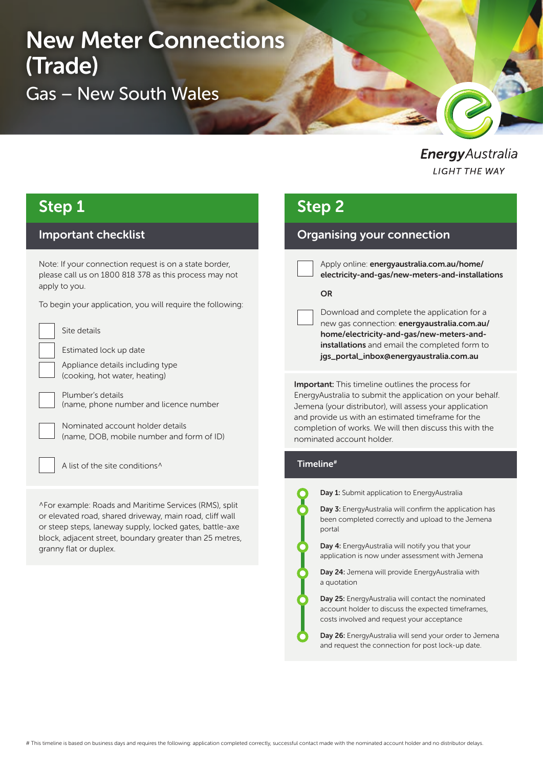# New Meter Connections (Trade) Gas – New South Wales

EnergyAustralia **LIGHT THE WAY** 

## Step 1

### Important checklist

Note: If your connection request is on a state border, please call us on 1800 818 378 as this process may not apply to you.

To begin your application, you will require the following:

Site details

Estimated lock up date

Appliance details including type (cooking, hot water, heating)

Plumber's details (name, phone number and licence number

Nominated account holder details (name, DOB, mobile number and form of ID)

A list of the site conditions^

^For example: Roads and Maritime Services (RMS), split or elevated road, shared driveway, main road, cliff wall or steep steps, laneway supply, locked gates, battle-axe block, adjacent street, boundary greater than 25 metres, granny flat or duplex.

## Step 2

### Organising your connection

Apply online: energyaustralia.com.au/home/ electricity-and-gas/new-meters-and-installations

#### **OR**

Download and complete the application for a new gas connection: energyaustralia.com.au/ home/electricity-and-gas/new-meters-andinstallations and email the completed form to jgs\_portal\_inbox@energyaustralia.com.au

**Important:** This timeline outlines the process for EnergyAustralia to submit the application on your behalf. Jemena (your distributor), will assess your application and provide us with an estimated timeframe for the completion of works. We will then discuss this with the nominated account holder.

#### Timeline#

Day 1: Submit application to EnergyAustralia

Day 3: EnergyAustralia will confirm the application has been completed correctly and upload to the Jemena portal

Day 4: EnergyAustralia will notify you that your application is now under assessment with Jemena

Day 24: Jemena will provide EnergyAustralia with a quotation

Day 25: EnergyAustralia will contact the nominated account holder to discuss the expected timeframes, costs involved and request your acceptance

Day 26: EnergyAustralia will send your order to Jemena and request the connection for post lock-up date.